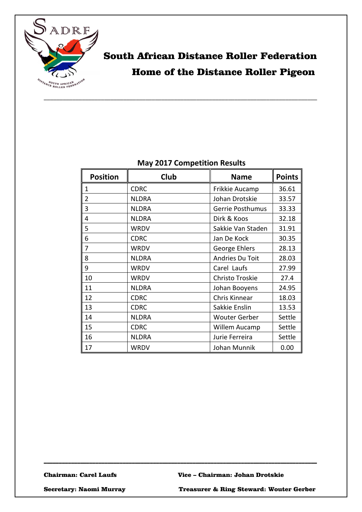

## South African Distance Roller Federation Home of the Distance Roller Pigeon

#### **May 2017 Competition Results**

| <b>Position</b> | Club         | <b>Name</b>          | <b>Points</b> |
|-----------------|--------------|----------------------|---------------|
| 1               | <b>CDRC</b>  | Frikkie Aucamp       | 36.61         |
| 2               | <b>NLDRA</b> | Johan Drotskie       | 33.57         |
| 3               | <b>NLDRA</b> | Gerrie Posthumus     | 33.33         |
| 4               | <b>NLDRA</b> | Dirk & Koos          | 32.18         |
| 5               | WRDV         | Sakkie Van Staden    | 31.91         |
| 6               | <b>CDRC</b>  | Jan De Kock          | 30.35         |
| 7               | <b>WRDV</b>  | George Ehlers        | 28.13         |
| 8               | <b>NLDRA</b> | Andries Du Toit      | 28.03         |
| 9               | WRDV         | Carel Laufs          | 27.99         |
| 10              | WRDV         | Christo Troskie      | 27.4          |
| 11              | <b>NLDRA</b> | Johan Booyens        | 24.95         |
| 12              | <b>CDRC</b>  | Chris Kinnear        | 18.03         |
| 13              | <b>CDRC</b>  | Sakkie Enslin        | 13.53         |
| 14              | <b>NLDRA</b> | <b>Wouter Gerber</b> | Settle        |
| 15              | <b>CDRC</b>  | Willem Aucamp        | Settle        |
| 16              | <b>NLDRA</b> | Jurie Ferreira       | Settle        |
| 17              | WRDV         | Johan Munnik         | 0.00          |

\_\_\_\_\_\_\_\_\_\_\_\_\_\_\_\_\_\_\_\_\_\_\_\_\_\_\_\_\_\_\_\_\_\_\_\_\_\_\_\_\_\_\_\_\_\_\_\_\_\_\_\_\_\_\_\_\_\_\_\_\_\_\_\_\_\_\_\_\_\_\_\_\_\_\_\_\_\_\_\_\_\_\_\_\_\_\_\_\_\_

Chairman: Carel Laufs Vice – Chairman: Johan Drotskie

Secretary: Naomi Murray Treasurer & Ring Steward: Wouter Gerber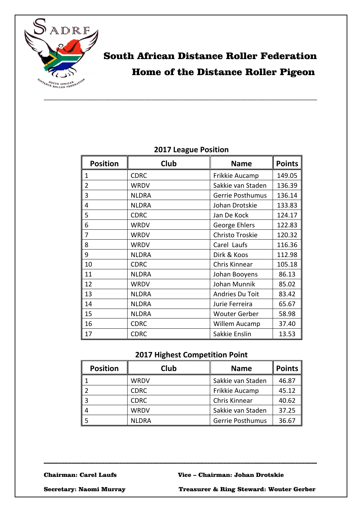

## South African Distance Roller Federation Home of the Distance Roller Pigeon

| <b>Position</b> | Club         | <b>Name</b>          | <b>Points</b> |
|-----------------|--------------|----------------------|---------------|
| 1               | <b>CDRC</b>  | Frikkie Aucamp       | 149.05        |
| 2               | <b>WRDV</b>  | Sakkie van Staden    | 136.39        |
| 3               | <b>NLDRA</b> | Gerrie Posthumus     | 136.14        |
| 4               | <b>NLDRA</b> | Johan Drotskie       | 133.83        |
| 5               | <b>CDRC</b>  | Jan De Kock          | 124.17        |
| 6               | <b>WRDV</b>  | George Ehlers        | 122.83        |
| 7               | <b>WRDV</b>  | Christo Troskie      | 120.32        |
| 8               | <b>WRDV</b>  | Carel Laufs          | 116.36        |
| 9               | <b>NLDRA</b> | Dirk & Koos          | 112.98        |
| 10              | <b>CDRC</b>  | Chris Kinnear        | 105.18        |
| 11              | <b>NLDRA</b> | Johan Booyens        | 86.13         |
| 12              | <b>WRDV</b>  | Johan Munnik         | 85.02         |
| 13              | <b>NLDRA</b> | Andries Du Toit      | 83.42         |
| 14              | <b>NLDRA</b> | Jurie Ferreira       | 65.67         |
| 15              | <b>NLDRA</b> | <b>Wouter Gerber</b> | 58.98         |
| 16              | <b>CDRC</b>  | Willem Aucamp        | 37.40         |
| 17              | <b>CDRC</b>  | Sakkie Enslin        | 13.53         |

#### **2017 League Position**

#### **2017 Highest Competition Point**

| <b>Position</b> | <b>Club</b>  | <b>Name</b>             | Points |
|-----------------|--------------|-------------------------|--------|
|                 | WRDV         | Sakkie van Staden       | 46.87  |
|                 | <b>CDRC</b>  | Frikkie Aucamp          | 45.12  |
|                 | <b>CDRC</b>  | Chris Kinnear           | 40.62  |
|                 | <b>WRDV</b>  | Sakkie van Staden       | 37.25  |
|                 | <b>NLDRA</b> | <b>Gerrie Posthumus</b> | 36.67  |

\_\_\_\_\_\_\_\_\_\_\_\_\_\_\_\_\_\_\_\_\_\_\_\_\_\_\_\_\_\_\_\_\_\_\_\_\_\_\_\_\_\_\_\_\_\_\_\_\_\_\_\_\_\_\_\_\_\_\_\_\_\_\_\_\_\_\_\_\_\_\_\_\_\_\_\_\_\_\_\_\_\_\_\_\_\_\_\_\_\_

Chairman: Carel Laufs Vice – Chairman: Johan Drotskie

Secretary: Naomi Murray Treasurer & Ring Steward: Wouter Gerber